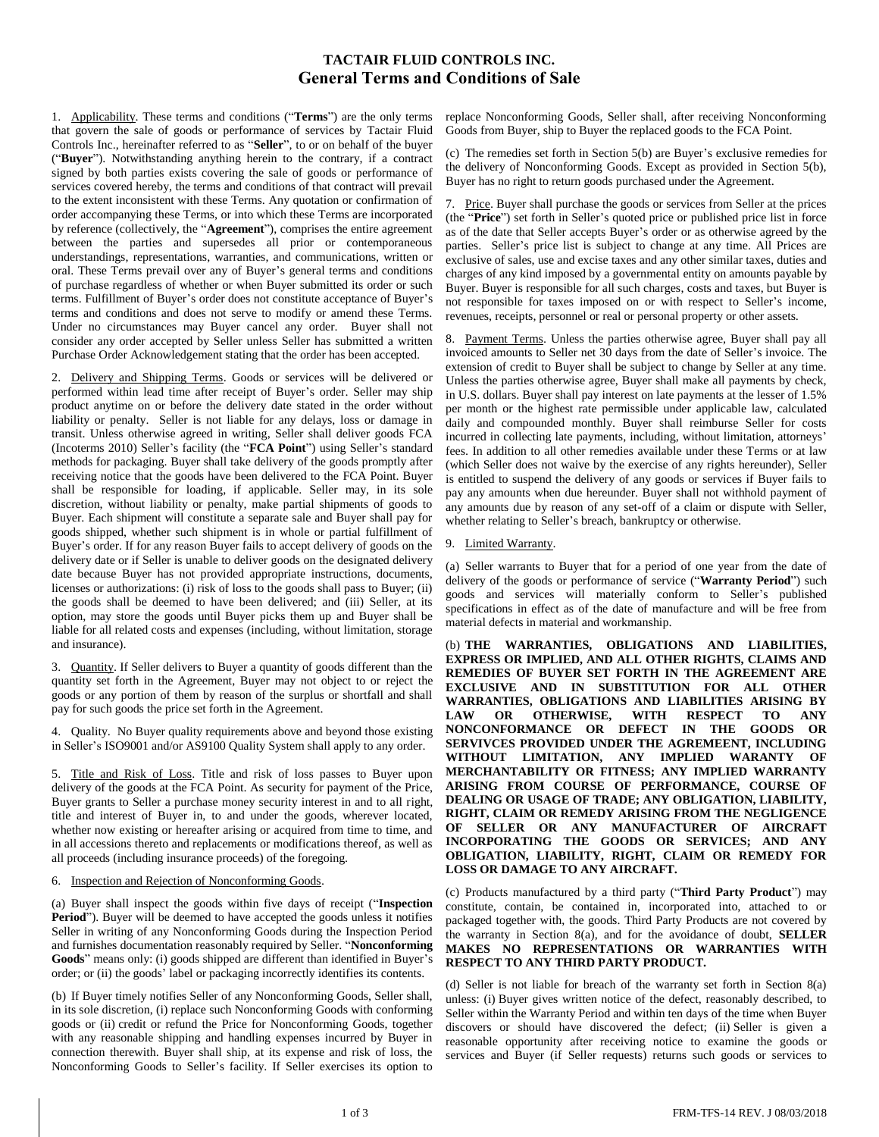# **TACTAIR FLUID CONTROLS INC. General Terms and Conditions of Sale**

1. Applicability. These terms and conditions ("**Terms**") are the only terms that govern the sale of goods or performance of services by Tactair Fluid Controls Inc., hereinafter referred to as "**Seller**", to or on behalf of the buyer ("**Buyer**"). Notwithstanding anything herein to the contrary, if a contract signed by both parties exists covering the sale of goods or performance of services covered hereby, the terms and conditions of that contract will prevail to the extent inconsistent with these Terms. Any quotation or confirmation of order accompanying these Terms, or into which these Terms are incorporated by reference (collectively, the "**Agreement**"), comprises the entire agreement between the parties and supersedes all prior or contemporaneous understandings, representations, warranties, and communications, written or oral. These Terms prevail over any of Buyer's general terms and conditions of purchase regardless of whether or when Buyer submitted its order or such terms. Fulfillment of Buyer's order does not constitute acceptance of Buyer's terms and conditions and does not serve to modify or amend these Terms. Under no circumstances may Buyer cancel any order. Buyer shall not consider any order accepted by Seller unless Seller has submitted a written Purchase Order Acknowledgement stating that the order has been accepted.

2. Delivery and Shipping Terms. Goods or services will be delivered or performed within lead time after receipt of Buyer's order. Seller may ship product anytime on or before the delivery date stated in the order without liability or penalty. Seller is not liable for any delays, loss or damage in transit. Unless otherwise agreed in writing, Seller shall deliver goods FCA (Incoterms 2010) Seller's facility (the "**FCA Point**") using Seller's standard methods for packaging. Buyer shall take delivery of the goods promptly after receiving notice that the goods have been delivered to the FCA Point. Buyer shall be responsible for loading, if applicable. Seller may, in its sole discretion, without liability or penalty, make partial shipments of goods to Buyer. Each shipment will constitute a separate sale and Buyer shall pay for goods shipped, whether such shipment is in whole or partial fulfillment of Buyer's order. If for any reason Buyer fails to accept delivery of goods on the delivery date or if Seller is unable to deliver goods on the designated delivery date because Buyer has not provided appropriate instructions, documents, licenses or authorizations: (i) risk of loss to the goods shall pass to Buyer; (ii) the goods shall be deemed to have been delivered; and (iii) Seller, at its option, may store the goods until Buyer picks them up and Buyer shall be liable for all related costs and expenses (including, without limitation, storage and insurance).

3. Quantity. If Seller delivers to Buyer a quantity of goods different than the quantity set forth in the Agreement, Buyer may not object to or reject the goods or any portion of them by reason of the surplus or shortfall and shall pay for such goods the price set forth in the Agreement.

4. Quality. No Buyer quality requirements above and beyond those existing in Seller's ISO9001 and/or AS9100 Quality System shall apply to any order.

5. Title and Risk of Loss. Title and risk of loss passes to Buyer upon delivery of the goods at the FCA Point. As security for payment of the Price, Buyer grants to Seller a purchase money security interest in and to all right, title and interest of Buyer in, to and under the goods, wherever located, whether now existing or hereafter arising or acquired from time to time, and in all accessions thereto and replacements or modifications thereof, as well as all proceeds (including insurance proceeds) of the foregoing.

## 6. Inspection and Rejection of Nonconforming Goods.

(a) Buyer shall inspect the goods within five days of receipt ("**Inspection Period**"). Buyer will be deemed to have accepted the goods unless it notifies Seller in writing of any Nonconforming Goods during the Inspection Period and furnishes documentation reasonably required by Seller. "**Nonconforming Goods**" means only: (i) goods shipped are different than identified in Buyer's order; or (ii) the goods' label or packaging incorrectly identifies its contents.

(b) If Buyer timely notifies Seller of any Nonconforming Goods, Seller shall, in its sole discretion, (i) replace such Nonconforming Goods with conforming goods or (ii) credit or refund the Price for Nonconforming Goods, together with any reasonable shipping and handling expenses incurred by Buyer in connection therewith. Buyer shall ship, at its expense and risk of loss, the Nonconforming Goods to Seller's facility. If Seller exercises its option to

replace Nonconforming Goods, Seller shall, after receiving Nonconforming Goods from Buyer, ship to Buyer the replaced goods to the FCA Point.

(c) The remedies set forth in Section 5(b) are Buyer's exclusive remedies for the delivery of Nonconforming Goods. Except as provided in Section 5(b), Buyer has no right to return goods purchased under the Agreement.

7. Price. Buyer shall purchase the goods or services from Seller at the prices (the "**Price**") set forth in Seller's quoted price or published price list in force as of the date that Seller accepts Buyer's order or as otherwise agreed by the parties. Seller's price list is subject to change at any time. All Prices are exclusive of sales, use and excise taxes and any other similar taxes, duties and charges of any kind imposed by a governmental entity on amounts payable by Buyer. Buyer is responsible for all such charges, costs and taxes, but Buyer is not responsible for taxes imposed on or with respect to Seller's income, revenues, receipts, personnel or real or personal property or other assets.

8. Payment Terms. Unless the parties otherwise agree, Buyer shall pay all invoiced amounts to Seller net 30 days from the date of Seller's invoice. The extension of credit to Buyer shall be subject to change by Seller at any time. Unless the parties otherwise agree, Buyer shall make all payments by check, in U.S. dollars. Buyer shall pay interest on late payments at the lesser of 1.5% per month or the highest rate permissible under applicable law, calculated daily and compounded monthly. Buyer shall reimburse Seller for costs incurred in collecting late payments, including, without limitation, attorneys' fees. In addition to all other remedies available under these Terms or at law (which Seller does not waive by the exercise of any rights hereunder), Seller is entitled to suspend the delivery of any goods or services if Buyer fails to pay any amounts when due hereunder. Buyer shall not withhold payment of any amounts due by reason of any set-off of a claim or dispute with Seller, whether relating to Seller's breach, bankruptcy or otherwise.

#### 9. Limited Warranty.

(a) Seller warrants to Buyer that for a period of one year from the date of delivery of the goods or performance of service ("**Warranty Period**") such goods and services will materially conform to Seller's published specifications in effect as of the date of manufacture and will be free from material defects in material and workmanship.

(b) **THE WARRANTIES, OBLIGATIONS AND LIABILITIES, EXPRESS OR IMPLIED, AND ALL OTHER RIGHTS, CLAIMS AND REMEDIES OF BUYER SET FORTH IN THE AGREEMENT ARE EXCLUSIVE AND IN SUBSTITUTION FOR ALL OTHER WARRANTIES, OBLIGATIONS AND LIABILITIES ARISING BY LAW OR OTHERWISE, WITH RESPECT TO ANY NONCONFORMANCE OR DEFECT IN THE GOODS OR SERVIVCES PROVIDED UNDER THE AGREMEENT, INCLUDING WITHOUT LIMITATION, ANY IMPLIED WARANTY OF MERCHANTABILITY OR FITNESS; ANY IMPLIED WARRANTY ARISING FROM COURSE OF PERFORMANCE, COURSE OF DEALING OR USAGE OF TRADE; ANY OBLIGATION, LIABILITY, RIGHT, CLAIM OR REMEDY ARISING FROM THE NEGLIGENCE OF SELLER OR ANY MANUFACTURER OF AIRCRAFT INCORPORATING THE GOODS OR SERVICES; AND ANY OBLIGATION, LIABILITY, RIGHT, CLAIM OR REMEDY FOR LOSS OR DAMAGE TO ANY AIRCRAFT.**

(c) Products manufactured by a third party ("**Third Party Product**") may constitute, contain, be contained in, incorporated into, attached to or packaged together with, the goods. Third Party Products are not covered by the warranty in Section 8(a), and for the avoidance of doubt, **SELLER MAKES NO REPRESENTATIONS OR WARRANTIES WITH RESPECT TO ANY THIRD PARTY PRODUCT.**

(d) Seller is not liable for breach of the warranty set forth in Section 8(a) unless: (i) Buyer gives written notice of the defect, reasonably described, to Seller within the Warranty Period and within ten days of the time when Buyer discovers or should have discovered the defect; (ii) Seller is given a reasonable opportunity after receiving notice to examine the goods or services and Buyer (if Seller requests) returns such goods or services to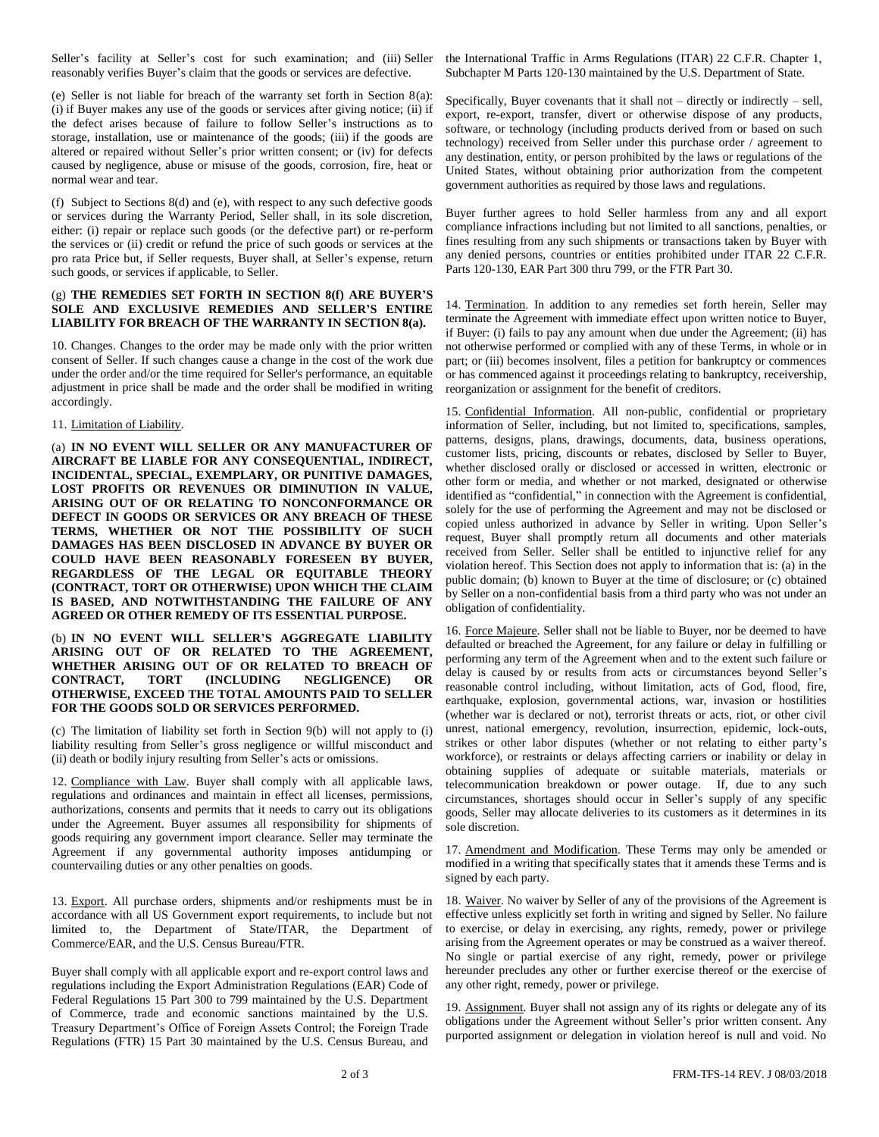Seller's facility at Seller's cost for such examination; and (iii) Seller reasonably verifies Buyer's claim that the goods or services are defective.

(e) Seller is not liable for breach of the warranty set forth in Section 8(a): (i) if Buyer makes any use of the goods or services after giving notice; (ii) if the defect arises because of failure to follow Seller's instructions as to storage, installation, use or maintenance of the goods; (iii) if the goods are altered or repaired without Seller's prior written consent; or (iv) for defects caused by negligence, abuse or misuse of the goods, corrosion, fire, heat or normal wear and tear.

(f) Subject to Sections 8(d) and (e), with respect to any such defective goods or services during the Warranty Period, Seller shall, in its sole discretion, either: (i) repair or replace such goods (or the defective part) or re-perform the services or (ii) credit or refund the price of such goods or services at the pro rata Price but, if Seller requests, Buyer shall, at Seller's expense, return such goods, or services if applicable, to Seller.

### (g) **THE REMEDIES SET FORTH IN SECTION 8(f) ARE BUYER'S SOLE AND EXCLUSIVE REMEDIES AND SELLER'S ENTIRE LIABILITY FOR BREACH OF THE WARRANTY IN SECTION 8(a).**

10. Changes. Changes to the order may be made only with the prior written consent of Seller. If such changes cause a change in the cost of the work due under the order and/or the time required for Seller's performance, an equitable adjustment in price shall be made and the order shall be modified in writing accordingly.

#### 11. Limitation of Liability.

(a) **IN NO EVENT WILL SELLER OR ANY MANUFACTURER OF AIRCRAFT BE LIABLE FOR ANY CONSEQUENTIAL, INDIRECT, INCIDENTAL, SPECIAL, EXEMPLARY, OR PUNITIVE DAMAGES, LOST PROFITS OR REVENUES OR DIMINUTION IN VALUE, ARISING OUT OF OR RELATING TO NONCONFORMANCE OR DEFECT IN GOODS OR SERVICES OR ANY BREACH OF THESE TERMS, WHETHER OR NOT THE POSSIBILITY OF SUCH DAMAGES HAS BEEN DISCLOSED IN ADVANCE BY BUYER OR COULD HAVE BEEN REASONABLY FORESEEN BY BUYER, REGARDLESS OF THE LEGAL OR EQUITABLE THEORY (CONTRACT, TORT OR OTHERWISE) UPON WHICH THE CLAIM IS BASED, AND NOTWITHSTANDING THE FAILURE OF ANY AGREED OR OTHER REMEDY OF ITS ESSENTIAL PURPOSE.**

#### (b) **IN NO EVENT WILL SELLER'S AGGREGATE LIABILITY ARISING OUT OF OR RELATED TO THE AGREEMENT, WHETHER ARISING OUT OF OR RELATED TO BREACH OF NEGLIGENCE) OTHERWISE, EXCEED THE TOTAL AMOUNTS PAID TO SELLER FOR THE GOODS SOLD OR SERVICES PERFORMED.**

(c) The limitation of liability set forth in Section 9(b) will not apply to (i) liability resulting from Seller's gross negligence or willful misconduct and (ii) death or bodily injury resulting from Seller's acts or omissions.

12. Compliance with Law. Buyer shall comply with all applicable laws, regulations and ordinances and maintain in effect all licenses, permissions, authorizations, consents and permits that it needs to carry out its obligations under the Agreement. Buyer assumes all responsibility for shipments of goods requiring any government import clearance. Seller may terminate the Agreement if any governmental authority imposes antidumping or countervailing duties or any other penalties on goods.

13. Export. All purchase orders, shipments and/or reshipments must be in accordance with all US Government export requirements, to include but not limited to, the Department of State/ITAR, the Department of Commerce/EAR, and the U.S. Census Bureau/FTR.

Buyer shall comply with all applicable export and re-export control laws and regulations including the Export Administration Regulations (EAR) Code of Federal Regulations 15 Part 300 to 799 maintained by the U.S. Department of Commerce, trade and economic sanctions maintained by the U.S. Treasury Department's Office of Foreign Assets Control; the Foreign Trade Regulations (FTR) 15 Part 30 maintained by the U.S. Census Bureau, and the International Traffic in Arms Regulations (ITAR) 22 C.F.R. Chapter 1, Subchapter M Parts 120-130 maintained by the U.S. Department of State.

Specifically, Buyer covenants that it shall not  $-$  directly or indirectly  $-$  sell, export, re-export, transfer, divert or otherwise dispose of any products, software, or technology (including products derived from or based on such technology) received from Seller under this purchase order / agreement to any destination, entity, or person prohibited by the laws or regulations of the United States, without obtaining prior authorization from the competent government authorities as required by those laws and regulations.

Buyer further agrees to hold Seller harmless from any and all export compliance infractions including but not limited to all sanctions, penalties, or fines resulting from any such shipments or transactions taken by Buyer with any denied persons, countries or entities prohibited under ITAR 22 C.F.R. Parts 120-130, EAR Part 300 thru 799, or the FTR Part 30.

14. Termination. In addition to any remedies set forth herein, Seller may terminate the Agreement with immediate effect upon written notice to Buyer, if Buyer: (i) fails to pay any amount when due under the Agreement; (ii) has not otherwise performed or complied with any of these Terms, in whole or in part; or (iii) becomes insolvent, files a petition for bankruptcy or commences or has commenced against it proceedings relating to bankruptcy, receivership, reorganization or assignment for the benefit of creditors.

15. Confidential Information. All non-public, confidential or proprietary information of Seller, including, but not limited to, specifications, samples, patterns, designs, plans, drawings, documents, data, business operations, customer lists, pricing, discounts or rebates, disclosed by Seller to Buyer, whether disclosed orally or disclosed or accessed in written, electronic or other form or media, and whether or not marked, designated or otherwise identified as "confidential," in connection with the Agreement is confidential, solely for the use of performing the Agreement and may not be disclosed or copied unless authorized in advance by Seller in writing. Upon Seller's request, Buyer shall promptly return all documents and other materials received from Seller. Seller shall be entitled to injunctive relief for any violation hereof. This Section does not apply to information that is: (a) in the public domain; (b) known to Buyer at the time of disclosure; or (c) obtained by Seller on a non-confidential basis from a third party who was not under an obligation of confidentiality.

16. Force Majeure. Seller shall not be liable to Buyer, nor be deemed to have defaulted or breached the Agreement, for any failure or delay in fulfilling or performing any term of the Agreement when and to the extent such failure or delay is caused by or results from acts or circumstances beyond Seller's reasonable control including, without limitation, acts of God, flood, fire, earthquake, explosion, governmental actions, war, invasion or hostilities (whether war is declared or not), terrorist threats or acts, riot, or other civil unrest, national emergency, revolution, insurrection, epidemic, lock-outs, strikes or other labor disputes (whether or not relating to either party's workforce), or restraints or delays affecting carriers or inability or delay in obtaining supplies of adequate or suitable materials, materials or telecommunication breakdown or power outage. If, due to any such circumstances, shortages should occur in Seller's supply of any specific goods, Seller may allocate deliveries to its customers as it determines in its sole discretion.

17. Amendment and Modification. These Terms may only be amended or modified in a writing that specifically states that it amends these Terms and is signed by each party.

18. Waiver. No waiver by Seller of any of the provisions of the Agreement is effective unless explicitly set forth in writing and signed by Seller. No failure to exercise, or delay in exercising, any rights, remedy, power or privilege arising from the Agreement operates or may be construed as a waiver thereof. No single or partial exercise of any right, remedy, power or privilege hereunder precludes any other or further exercise thereof or the exercise of any other right, remedy, power or privilege.

19. Assignment. Buyer shall not assign any of its rights or delegate any of its obligations under the Agreement without Seller's prior written consent. Any purported assignment or delegation in violation hereof is null and void. No